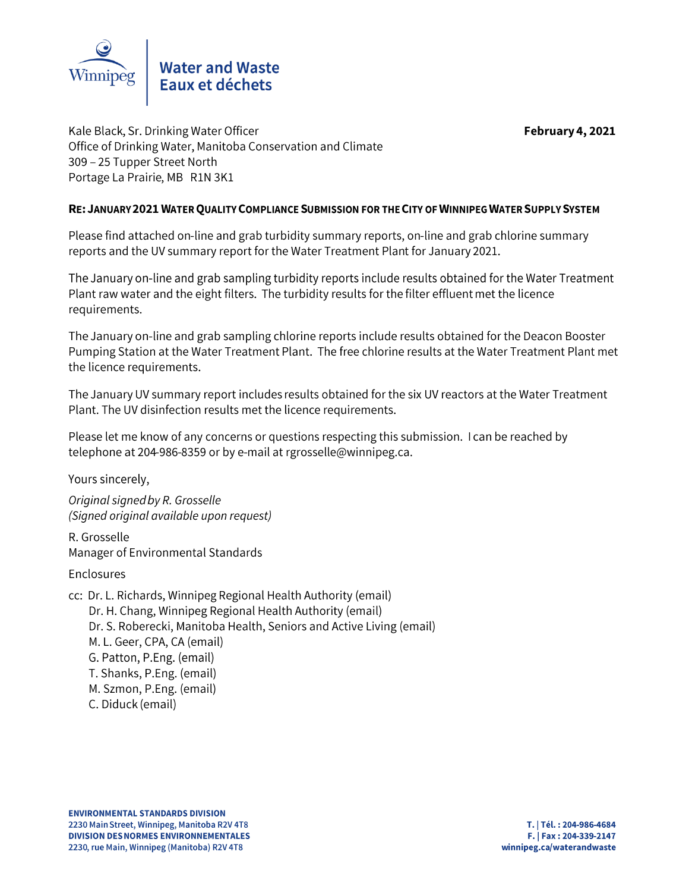

February 4, 2021

Kale Black, Sr. Drinking Water Officer Office of Drinking Water, Manitoba Conservation and Climate 309 - 25 Tupper Street North Portage La Prairie, MB R1N 3K1

# RE: JANUARY 2021 WATER QUALITY COMPLIANCE SUBMISSION FOR THE CITY OF WINNIPEG WATER SUPPLY SYSTEM

Please find attached on-line and grab turbidity summary reports, on-line and grab chlorine summary reports and the UV summary report for the Water Treatment Plant for January 2021.

The January on-line and grab sampling turbidity reports include results obtained for the Water Treatment Plant raw water and the eight filters. The turbidity results for the filter effluent met the licence requirements.

The January on-line and grab sampling chlorine reports include results obtained for the Deacon Booster Pumping Station at the Water Treatment Plant. The free chlorine results at the Water Treatment Plant met the licence requirements.

The January UV summary report includes results obtained for the six UV reactors at the Water Treatment Plant. The UV disinfection results met the licence requirements.

Please let me know of any concerns or questions respecting this submission. I can be reached by telephone at 204-986-8359 or by e-mail at rgrosselle@winnipeg.ca.

Yours sincerely,

Original signed by R. Grosselle (Signed original available upon request)

R. Grosselle Manager of Environmental Standards

Enclosures

cc: Dr. L. Richards, Winnipeg Regional Health Authority (email) Dr. H. Chang, Winnipeg Regional Health Authority (email) Dr. S. Roberecki, Manitoba Health, Seniors and Active Living (email) M. L. Geer, CPA, CA (email) G. Patton, P.Eng. (email) T. Shanks, P.Eng. (email) M. Szmon, P.Eng. (email) C. Diduck (email)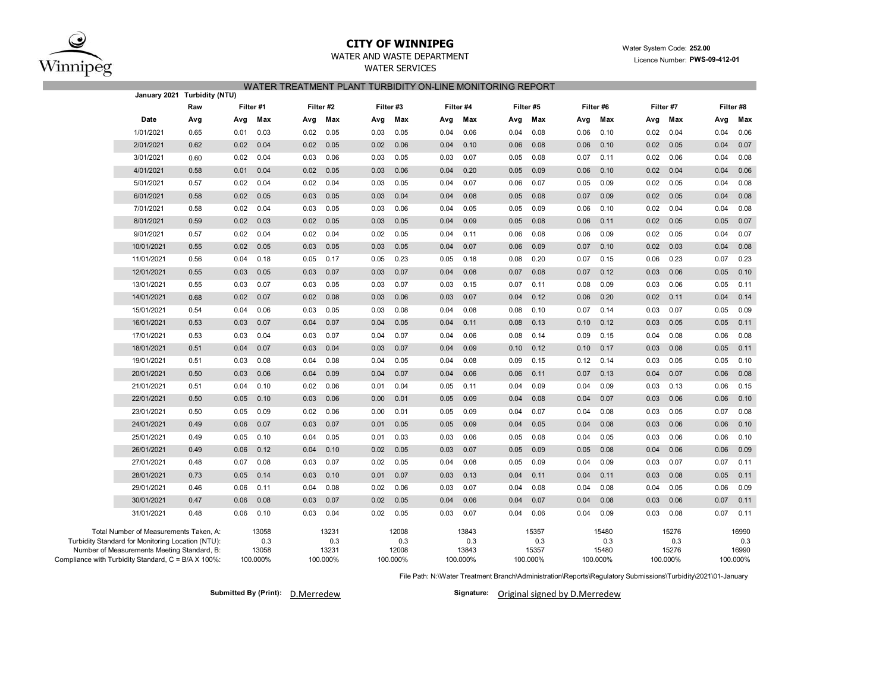

## **CITY OF WINNIPEG**

## WATER AND WASTE DEPARTMENT

WATER SERVICES

## Water System Code: **252.00** Licence Number: **PWS-09-412-01**

## WATER TREATMENT PLANT TURBIDITY ON-LINE MONITORING REPORT

|                                                                                                                                            | January 2021 Turbidity (NTU) |      |                       |           |                       |          |                       |          |                       |           |                       |           |                       |          |                       |      |                       |
|--------------------------------------------------------------------------------------------------------------------------------------------|------------------------------|------|-----------------------|-----------|-----------------------|----------|-----------------------|----------|-----------------------|-----------|-----------------------|-----------|-----------------------|----------|-----------------------|------|-----------------------|
|                                                                                                                                            | Filter #1<br>Raw             |      |                       | Filter #2 |                       | Filter#3 |                       |          | Filter #4             | Filter #5 |                       | Filter #6 |                       |          | Filter #7             |      |                       |
| Date                                                                                                                                       | Avg                          | Avg  | Max                   | Avg       | Max                   | Avg      | Max                   | Avg      | Max                   | Avg       | Max                   | Avg       | Max                   | Avg      | Max                   | Avg  | Max                   |
| 1/01/2021                                                                                                                                  | 0.65                         | 0.01 | 0.03                  | 0.02      | 0.05                  | 0.03     | 0.05                  | 0.04     | 0.06                  | 0.04      | 0.08                  | 0.06      | 0.10                  | 0.02     | 0.04                  | 0.04 | 0.06                  |
| 2/01/2021                                                                                                                                  | 0.62                         | 0.02 | 0.04                  | 0.02      | 0.05                  | 0.02     | 0.06                  | 0.04     | 0.10                  | 0.06      | 0.08                  | 0.06      | 0.10                  | 0.02     | 0.05                  | 0.04 | 0.07                  |
| 3/01/2021                                                                                                                                  | 0.60                         | 0.02 | 0.04                  | 0.03      | 0.06                  | 0.03     | 0.05                  | 0.03     | 0.07                  | 0.05      | 0.08                  | 0.07      | 0.11                  | 0.02     | 0.06                  | 0.04 | 0.08                  |
| 4/01/2021                                                                                                                                  | 0.58                         | 0.01 | 0.04                  | 0.02      | 0.05                  | 0.03     | 0.06                  | 0.04     | 0.20                  | 0.05      | 0.09                  | 0.06      | 0.10                  | 0.02     | 0.04                  | 0.04 | 0.06                  |
| 5/01/2021                                                                                                                                  | 0.57                         | 0.02 | 0.04                  | 0.02      | 0.04                  | 0.03     | 0.05                  | 0.04     | 0.07                  | 0.06      | 0.07                  | 0.05      | 0.09                  | 0.02     | 0.05                  | 0.04 | 0.08                  |
| 6/01/2021                                                                                                                                  | 0.58                         | 0.02 | 0.05                  | 0.03      | 0.05                  | 0.03     | 0.04                  | 0.04     | 0.08                  | 0.05      | 0.08                  | 0.07      | 0.09                  | 0.02     | 0.05                  | 0.04 | 0.08                  |
| 7/01/2021                                                                                                                                  | 0.58                         | 0.02 | 0.04                  | 0.03      | 0.05                  | 0.03     | 0.06                  | 0.04     | 0.05                  | 0.05      | 0.09                  | 0.06      | 0.10                  | 0.02     | 0.04                  | 0.04 | 0.08                  |
| 8/01/2021                                                                                                                                  | 0.59                         | 0.02 | 0.03                  | 0.02      | 0.05                  | 0.03     | 0.05                  | 0.04     | 0.09                  | 0.05      | 0.08                  | 0.06      | 0.11                  | 0.02     | 0.05                  | 0.05 | 0.07                  |
| 9/01/2021                                                                                                                                  | 0.57                         | 0.02 | 0.04                  | 0.02      | 0.04                  | 0.02     | 0.05                  | 0.04     | 0.11                  | 0.06      | 0.08                  | 0.06      | 0.09                  | 0.02     | 0.05                  | 0.04 | 0.07                  |
| 10/01/2021                                                                                                                                 | 0.55                         | 0.02 | 0.05                  | 0.03      | 0.05                  | 0.03     | 0.05                  | 0.04     | 0.07                  | 0.06      | 0.09                  | 0.07      | 0.10                  | 0.02     | 0.03                  | 0.04 | 0.08                  |
| 11/01/2021                                                                                                                                 | 0.56                         | 0.04 | 0.18                  | 0.05      | 0.17                  | 0.05     | 0.23                  | 0.05     | 0.18                  | 0.08      | 0.20                  | 0.07      | 0.15                  | 0.06     | 0.23                  | 0.07 | 0.23                  |
| 12/01/2021                                                                                                                                 | 0.55                         | 0.03 | 0.05                  | 0.03      | 0.07                  | 0.03     | 0.07                  | 0.04     | 0.08                  | 0.07      | 0.08                  | 0.07      | 0.12                  | 0.03     | 0.06                  | 0.05 | 0.10                  |
| 13/01/2021                                                                                                                                 | 0.55                         | 0.03 | 0.07                  | 0.03      | 0.05                  | 0.03     | 0.07                  | 0.03     | 0.15                  | 0.07      | 0.11                  | 0.08      | 0.09                  | 0.03     | 0.06                  | 0.05 | 0.11                  |
| 14/01/2021                                                                                                                                 | 0.68                         | 0.02 | 0.07                  | 0.02      | 0.08                  | 0.03     | 0.06                  | 0.03     | 0.07                  | 0.04      | 0.12                  | 0.06      | 0.20                  | 0.02     | 0.11                  | 0.04 | 0.14                  |
| 15/01/2021                                                                                                                                 | 0.54                         | 0.04 | 0.06                  | 0.03      | 0.05                  | 0.03     | 0.08                  | 0.04     | 0.08                  | 0.08      | 0.10                  | 0.07      | 0.14                  | 0.03     | 0.07                  | 0.05 | 0.09                  |
| 16/01/2021                                                                                                                                 | 0.53                         | 0.03 | 0.07                  | 0.04      | 0.07                  | 0.04     | 0.05                  | 0.04     | 0.11                  | 0.08      | 0.13                  | 0.10      | 0.12                  | 0.03     | 0.05                  | 0.05 | 0.11                  |
| 17/01/2021                                                                                                                                 | 0.53                         | 0.03 | 0.04                  | 0.03      | 0.07                  | 0.04     | 0.07                  | 0.04     | 0.06                  | 0.08      | 0.14                  | 0.09      | 0.15                  | 0.04     | 0.08                  | 0.06 | 0.08                  |
| 18/01/2021                                                                                                                                 | 0.51                         | 0.04 | 0.07                  | 0.03      | 0.04                  | 0.03     | 0.07                  | 0.04     | 0.09                  | 0.10      | 0.12                  | 0.10      | 0.17                  | 0.03     | 0.08                  | 0.05 | 0.11                  |
| 19/01/2021                                                                                                                                 | 0.51                         | 0.03 | 0.08                  | 0.04      | 0.08                  | 0.04     | 0.05                  | 0.04     | 0.08                  | 0.09      | 0.15                  | 0.12      | 0.14                  | 0.03     | 0.05                  | 0.05 | 0.10                  |
| 20/01/2021                                                                                                                                 | 0.50                         | 0.03 | 0.06                  | 0.04      | 0.09                  | 0.04     | 0.07                  | 0.04     | 0.06                  | 0.06      | 0.11                  | 0.07      | 0.13                  | 0.04     | 0.07                  | 0.06 | 0.08                  |
| 21/01/2021                                                                                                                                 | 0.51                         | 0.04 | 0.10                  | 0.02      | 0.06                  | 0.01     | 0.04                  | 0.05     | 0.11                  | 0.04      | 0.09                  | 0.04      | 0.09                  | 0.03     | 0.13                  | 0.06 | 0.15                  |
| 22/01/2021                                                                                                                                 | 0.50                         | 0.05 | 0.10                  | 0.03      | 0.06                  | 0.00     | 0.01                  | 0.05     | 0.09                  | 0.04      | 0.08                  | 0.04      | 0.07                  | 0.03     | 0.06                  | 0.06 | 0.10                  |
| 23/01/2021                                                                                                                                 | 0.50                         | 0.05 | 0.09                  | 0.02      | 0.06                  | 0.00     | 0.01                  | 0.05     | 0.09                  | 0.04      | 0.07                  | 0.04      | 0.08                  | 0.03     | 0.05                  | 0.07 | 0.08                  |
| 24/01/2021                                                                                                                                 | 0.49                         | 0.06 | 0.07                  | 0.03      | 0.07                  | 0.01     | 0.05                  | 0.05     | 0.09                  | 0.04      | 0.05                  | 0.04      | 0.08                  | 0.03     | 0.06                  | 0.06 | 0.10                  |
| 25/01/2021                                                                                                                                 | 0.49                         | 0.05 | 0.10                  | 0.04      | 0.05                  | 0.01     | 0.03                  | 0.03     | 0.06                  | 0.05      | 0.08                  | 0.04      | 0.05                  | 0.03     | 0.06                  | 0.06 | 0.10                  |
| 26/01/2021                                                                                                                                 | 0.49                         | 0.06 | 0.12                  | 0.04      | 0.10                  | 0.02     | 0.05                  | 0.03     | 0.07                  | 0.05      | 0.09                  | 0.05      | 0.08                  | 0.04     | 0.06                  | 0.06 | 0.09                  |
| 27/01/2021                                                                                                                                 | 0.48                         | 0.07 | 0.08                  | 0.03      | 0.07                  | 0.02     | 0.05                  | 0.04     | 0.08                  | 0.05      | 0.09                  | 0.04      | 0.09                  | 0.03     | 0.07                  | 0.07 | 0.11                  |
| 28/01/2021                                                                                                                                 | 0.73                         | 0.05 | 0.14                  | 0.03      | 0.10                  | 0.01     | 0.07                  | 0.03     | 0.13                  | 0.04      | 0.11                  | 0.04      | 0.11                  | 0.03     | 0.08                  | 0.05 | 0.11                  |
| 29/01/2021                                                                                                                                 | 0.46                         | 0.06 | 0.11                  | 0.04      | 0.08                  | 0.02     | 0.06                  | 0.03     | 0.07                  | 0.04      | 0.08                  | 0.04      | 0.08                  | 0.04     | 0.05                  | 0.06 | 0.09                  |
| 30/01/2021                                                                                                                                 | 0.47                         | 0.06 | 0.08                  | 0.03      | 0.07                  | 0.02     | 0.05                  | 0.04     | 0.06                  | 0.04      | 0.07                  | 0.04      | 0.08                  | 0.03     | 0.06                  | 0.07 | 0.11                  |
| 31/01/2021                                                                                                                                 | 0.48                         | 0.06 | 0.10                  | 0.03      | 0.04                  | 0.02     | 0.05                  | 0.03     | 0.07                  | 0.04      | 0.06                  | 0.04      | 0.09                  | 0.03     | 0.08                  | 0.07 | 0.11                  |
| Total Number of Measurements Taken, A:<br>Turbidity Standard for Monitoring Location (NTU):<br>Number of Measurements Meeting Standard, B: |                              |      | 13058<br>0.3<br>13058 |           | 13231<br>0.3<br>13231 |          | 12008<br>0.3<br>12008 |          | 13843<br>0.3<br>13843 |           | 15357<br>0.3<br>15357 |           | 15480<br>0.3<br>15480 |          | 15276<br>0.3<br>15276 |      | 16990<br>0.3<br>16990 |
| Compliance with Turbidity Standard, C = B/A X 100%:                                                                                        | 100.000%                     |      |                       | 100.000%  |                       | 100.000% |                       | 100.000% |                       | 100.000%  |                       | 100.000%  |                       | 100.000% | 100.000%              |      |                       |

File Path: N:\Water Treatment Branch\Administration\Reports\Regulatory Submissions\Turbidity\2021\01-January

**Submitted By (Print):** D.Merredew

Signature: Original signed by D.Merredew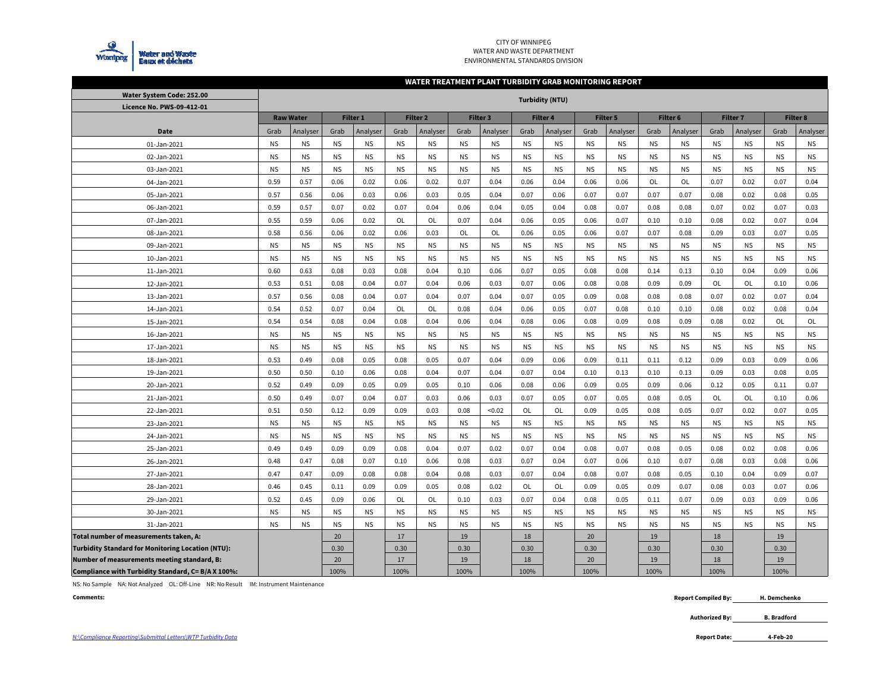

#### CITY OF WINNIPEG WATER AND WASTE DEPARTMENTENVIRONMENTAL STANDARDS DIVISION

#### **WATER TREATMENT PLANT TURBIDITY GRAB MONITORING REPORT**

| Water System Code: 252.00                                |           |                  |           |                     |           |                     |           |                 |           |                        |           |           |           |           |                 |           |                 |           |
|----------------------------------------------------------|-----------|------------------|-----------|---------------------|-----------|---------------------|-----------|-----------------|-----------|------------------------|-----------|-----------|-----------|-----------|-----------------|-----------|-----------------|-----------|
| Licence No. PWS-09-412-01                                |           |                  |           |                     |           |                     |           |                 |           | <b>Turbidity (NTU)</b> |           |           |           |           |                 |           |                 |           |
|                                                          |           | <b>Raw Water</b> |           | Filter <sub>1</sub> |           | Filter <sub>2</sub> |           | <b>Filter 3</b> |           | <b>Filter 4</b>        |           | Filter 5  |           | Filter 6  | <b>Filter 7</b> |           | <b>Filter 8</b> |           |
| Date                                                     | Grab      | Analyser         | Grab      | Analyser            | Grab      | Analyser            | Grab      | Analyser        | Grab      | Analyser               | Grab      | Analyser  | Grab      | Analyser  | Grab            | Analyser  | Grab            | Analyser  |
| 01-Jan-2021                                              | <b>NS</b> | <b>NS</b>        | <b>NS</b> | <b>NS</b>           | <b>NS</b> | <b>NS</b>           | <b>NS</b> | <b>NS</b>       | <b>NS</b> | <b>NS</b>              | <b>NS</b> | <b>NS</b> | <b>NS</b> | <b>NS</b> | <b>NS</b>       | <b>NS</b> | <b>NS</b>       | <b>NS</b> |
| 02-Jan-2021                                              | <b>NS</b> | <b>NS</b>        | <b>NS</b> | <b>NS</b>           | <b>NS</b> | <b>NS</b>           | <b>NS</b> | <b>NS</b>       | <b>NS</b> | <b>NS</b>              | <b>NS</b> | <b>NS</b> | <b>NS</b> | <b>NS</b> | <b>NS</b>       | <b>NS</b> | <b>NS</b>       | <b>NS</b> |
| 03-Jan-2021                                              | <b>NS</b> | <b>NS</b>        | <b>NS</b> | <b>NS</b>           | <b>NS</b> | <b>NS</b>           | <b>NS</b> | <b>NS</b>       | <b>NS</b> | <b>NS</b>              | <b>NS</b> | <b>NS</b> | <b>NS</b> | <b>NS</b> | <b>NS</b>       | <b>NS</b> | <b>NS</b>       | <b>NS</b> |
| 04-Jan-2021                                              | 0.59      | 0.57             | 0.06      | 0.02                | 0.06      | 0.02                | 0.07      | 0.04            | 0.06      | 0.04                   | 0.06      | 0.06      | <b>OL</b> | OL        | 0.07            | 0.02      | 0.07            | 0.04      |
| 05-Jan-2021                                              | 0.57      | 0.56             | 0.06      | 0.03                | 0.06      | 0.03                | 0.05      | 0.04            | 0.07      | 0.06                   | 0.07      | 0.07      | 0.07      | 0.07      | 0.08            | 0.02      | 0.08            | 0.05      |
| 06-Jan-2021                                              | 0.59      | 0.57             | 0.07      | 0.02                | 0.07      | 0.04                | 0.06      | 0.04            | 0.05      | 0.04                   | 0.08      | 0.07      | 0.08      | 0.08      | 0.07            | 0.02      | 0.07            | 0.03      |
| 07-Jan-2021                                              | 0.55      | 0.59             | 0.06      | 0.02                | OL        | <b>OL</b>           | 0.07      | 0.04            | 0.06      | 0.05                   | 0.06      | 0.07      | 0.10      | 0.10      | 0.08            | 0.02      | 0.07            | 0.04      |
| 08-Jan-2021                                              | 0.58      | 0.56             | 0.06      | 0.02                | 0.06      | 0.03                | OL        | OL              | 0.06      | 0.05                   | 0.06      | 0.07      | 0.07      | 0.08      | 0.09            | 0.03      | 0.07            | 0.05      |
| 09-Jan-2021                                              | <b>NS</b> | <b>NS</b>        | <b>NS</b> | <b>NS</b>           | <b>NS</b> | <b>NS</b>           | <b>NS</b> | <b>NS</b>       | <b>NS</b> | <b>NS</b>              | <b>NS</b> | <b>NS</b> | <b>NS</b> | <b>NS</b> | <b>NS</b>       | <b>NS</b> | <b>NS</b>       | <b>NS</b> |
| 10-Jan-2021                                              | <b>NS</b> | <b>NS</b>        | <b>NS</b> | <b>NS</b>           | <b>NS</b> | <b>NS</b>           | <b>NS</b> | <b>NS</b>       | <b>NS</b> | <b>NS</b>              | <b>NS</b> | <b>NS</b> | <b>NS</b> | <b>NS</b> | <b>NS</b>       | <b>NS</b> | <b>NS</b>       | <b>NS</b> |
| 11-Jan-2021                                              | 0.60      | 0.63             | 0.08      | 0.03                | 0.08      | 0.04                | 0.10      | 0.06            | 0.07      | 0.05                   | 0.08      | 0.08      | 0.14      | 0.13      | 0.10            | 0.04      | 0.09            | 0.06      |
| 12-Jan-2021                                              | 0.53      | 0.51             | 0.08      | 0.04                | 0.07      | 0.04                | 0.06      | 0.03            | 0.07      | 0.06                   | 0.08      | 0.08      | 0.09      | 0.09      | OL              | OL        | 0.10            | 0.06      |
| 13-Jan-2021                                              | 0.57      | 0.56             | 0.08      | 0.04                | 0.07      | 0.04                | 0.07      | 0.04            | 0.07      | 0.05                   | 0.09      | 0.08      | 0.08      | 0.08      | 0.07            | 0.02      | 0.07            | 0.04      |
| 14-Jan-2021                                              | 0.54      | 0.52             | 0.07      | 0.04                | <b>OL</b> | <b>OL</b>           | 0.08      | 0.04            | 0.06      | 0.05                   | 0.07      | 0.08      | 0.10      | 0.10      | 0.08            | 0.02      | 0.08            | 0.04      |
| 15-Jan-2021                                              | 0.54      | 0.54             | 0.08      | 0.04                | 0.08      | 0.04                | 0.06      | 0.04            | 0.08      | 0.06                   | 0.08      | 0.09      | 0.08      | 0.09      | 0.08            | 0.02      | OL              | OL        |
| 16-Jan-2021                                              | <b>NS</b> | <b>NS</b>        | <b>NS</b> | <b>NS</b>           | <b>NS</b> | <b>NS</b>           | <b>NS</b> | <b>NS</b>       | <b>NS</b> | <b>NS</b>              | <b>NS</b> | <b>NS</b> | <b>NS</b> | <b>NS</b> | <b>NS</b>       | <b>NS</b> | <b>NS</b>       | <b>NS</b> |
| 17-Jan-2021                                              | <b>NS</b> | <b>NS</b>        | <b>NS</b> | <b>NS</b>           | <b>NS</b> | <b>NS</b>           | <b>NS</b> | <b>NS</b>       | <b>NS</b> | <b>NS</b>              | <b>NS</b> | <b>NS</b> | <b>NS</b> | <b>NS</b> | <b>NS</b>       | <b>NS</b> | <b>NS</b>       | <b>NS</b> |
| 18-Jan-2021                                              | 0.53      | 0.49             | 0.08      | 0.05                | 0.08      | 0.05                | 0.07      | 0.04            | 0.09      | 0.06                   | 0.09      | 0.11      | 0.11      | 0.12      | 0.09            | 0.03      | 0.09            | 0.06      |
| 19-Jan-2021                                              | 0.50      | 0.50             | 0.10      | 0.06                | 0.08      | 0.04                | 0.07      | 0.04            | 0.07      | 0.04                   | 0.10      | 0.13      | 0.10      | 0.13      | 0.09            | 0.03      | 0.08            | 0.05      |
| 20-Jan-2021                                              | 0.52      | 0.49             | 0.09      | 0.05                | 0.09      | 0.05                | 0.10      | 0.06            | 0.08      | 0.06                   | 0.09      | 0.05      | 0.09      | 0.06      | 0.12            | 0.05      | 0.11            | 0.07      |
| 21-Jan-2021                                              | 0.50      | 0.49             | 0.07      | 0.04                | 0.07      | 0.03                | 0.06      | 0.03            | 0.07      | 0.05                   | 0.07      | 0.05      | 0.08      | 0.05      | OL              | OL        | 0.10            | 0.06      |
| 22-Jan-2021                                              | 0.51      | 0.50             | 0.12      | 0.09                | 0.09      | 0.03                | 0.08      | < 0.02          | OL        | OL                     | 0.09      | 0.05      | 0.08      | 0.05      | 0.07            | 0.02      | 0.07            | 0.05      |
| 23-Jan-2021                                              | <b>NS</b> | <b>NS</b>        | <b>NS</b> | <b>NS</b>           | <b>NS</b> | <b>NS</b>           | <b>NS</b> | <b>NS</b>       | <b>NS</b> | <b>NS</b>              | <b>NS</b> | <b>NS</b> | <b>NS</b> | <b>NS</b> | <b>NS</b>       | <b>NS</b> | <b>NS</b>       | <b>NS</b> |
| 24-Jan-2021                                              | <b>NS</b> | <b>NS</b>        | <b>NS</b> | <b>NS</b>           | <b>NS</b> | <b>NS</b>           | <b>NS</b> | <b>NS</b>       | <b>NS</b> | <b>NS</b>              | NS.       | <b>NS</b> | <b>NS</b> | <b>NS</b> | <b>NS</b>       | <b>NS</b> | <b>NS</b>       | <b>NS</b> |
| 25-Jan-2021                                              | 0.49      | 0.49             | 0.09      | 0.09                | 0.08      | 0.04                | 0.07      | 0.02            | 0.07      | 0.04                   | 0.08      | 0.07      | 0.08      | 0.05      | 0.08            | 0.02      | 0.08            | 0.06      |
| 26-Jan-2021                                              | 0.48      | 0.47             | 0.08      | 0.07                | 0.10      | 0.06                | 0.08      | 0.03            | 0.07      | 0.04                   | 0.07      | 0.06      | 0.10      | 0.07      | 0.08            | 0.03      | 0.08            | 0.06      |
| 27-Jan-2021                                              | 0.47      | 0.47             | 0.09      | 0.08                | 0.08      | 0.04                | 0.08      | 0.03            | 0.07      | 0.04                   | 0.08      | 0.07      | 0.08      | 0.05      | 0.10            | 0.04      | 0.09            | 0.07      |
| 28-Jan-2021                                              | 0.46      | 0.45             | 0.11      | 0.09                | 0.09      | 0.05                | 0.08      | 0.02            | OL        | OL                     | 0.09      | 0.05      | 0.09      | 0.07      | 0.08            | 0.03      | 0.07            | 0.06      |
| 29-Jan-2021                                              | 0.52      | 0.45             | 0.09      | 0.06                | <b>OL</b> | OL                  | 0.10      | 0.03            | 0.07      | 0.04                   | 0.08      | 0.05      | 0.11      | 0.07      | 0.09            | 0.03      | 0.09            | 0.06      |
| 30-Jan-2021                                              | <b>NS</b> | <b>NS</b>        | <b>NS</b> | <b>NS</b>           | <b>NS</b> | <b>NS</b>           | <b>NS</b> | <b>NS</b>       | <b>NS</b> | <b>NS</b>              | <b>NS</b> | <b>NS</b> | <b>NS</b> | <b>NS</b> | <b>NS</b>       | <b>NS</b> | <b>NS</b>       | <b>NS</b> |
| 31-Jan-2021                                              | <b>NS</b> | <b>NS</b>        | <b>NS</b> | <b>NS</b>           | <b>NS</b> | <b>NS</b>           | <b>NS</b> | <b>NS</b>       | <b>NS</b> | <b>NS</b>              | <b>NS</b> | <b>NS</b> | <b>NS</b> | <b>NS</b> | <b>NS</b>       | <b>NS</b> | <b>NS</b>       | <b>NS</b> |
| Total number of measurements taken, A:                   |           |                  | 20        |                     | 17        |                     | 19        |                 | 18        |                        | 20        |           | 19        |           | 18              |           | 19              |           |
| <b>Turbidity Standard for Monitoring Location (NTU):</b> |           |                  | 0.30      |                     | 0.30      |                     | 0.30      |                 | 0.30      |                        | 0.30      |           | 0.30      |           | 0.30            |           | 0.30            |           |
| Number of measurements meeting standard, B:              |           |                  | 20        |                     | 17        |                     | 19        |                 | 18        |                        | 20        |           | 19        |           | 18              |           | 19              |           |
| Compliance with Turbidity Standard, C= B/A X 100%:       |           |                  | 100%      |                     | 100%      |                     | 100%      |                 | 100%      |                        | 100%      |           | 100%      |           | 100%            |           | 100%            |           |

NS: No Sample NA: Not Analyzed OL: Off-Line NR: No Result IM: Instrument Maintenance

**Comments:**

 **Report Compiled By: H. Demchenko**

> **Authorized By: B. Bradford**

**4-Feb-20**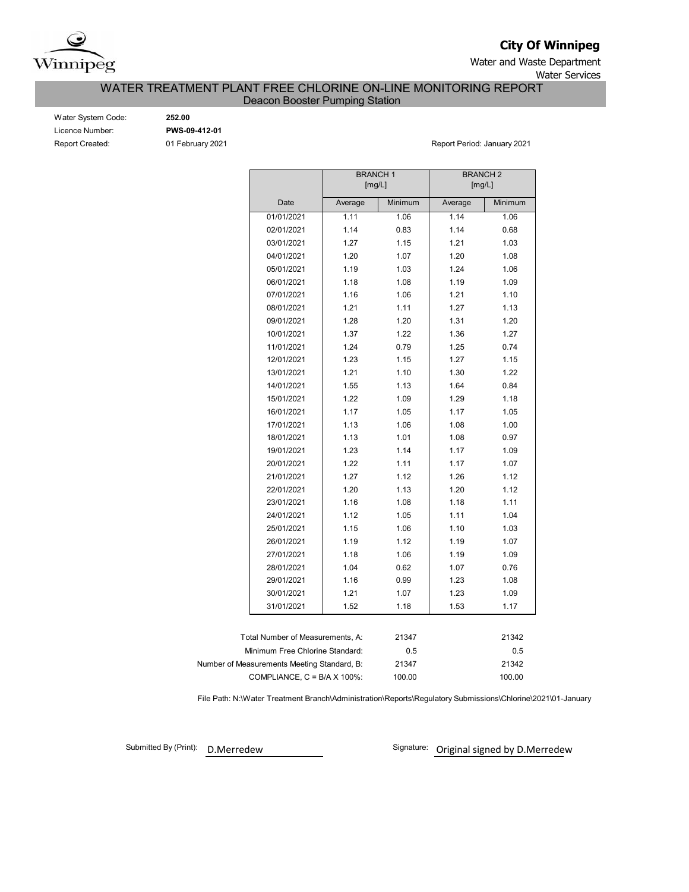

**City Of Winnipeg**

Water and Waste Department Water Services

# WATER TREATMENT PLANT FREE CHLORINE ON-LINE MONITORING REPORT

Deacon Booster Pumping Station

| Water System Code      |
|------------------------|
| Licence Number:        |
| <b>Report Created:</b> |

 $\frac{1}{252.00}$ Licence Number: **PWS-09-412-01**

01 February 2021 **Report Period: January 2021** 

|                                             | <b>BRANCH1</b><br>[mg/L] |         | <b>BRANCH2</b><br>[mg/L] |         |  |  |  |  |  |
|---------------------------------------------|--------------------------|---------|--------------------------|---------|--|--|--|--|--|
| Date                                        | Average                  | Minimum | Average                  | Minimum |  |  |  |  |  |
| 01/01/2021                                  | 1.11                     | 1.06    | 1.14                     | 1.06    |  |  |  |  |  |
| 02/01/2021                                  | 1.14                     | 0.83    | 1.14                     | 0.68    |  |  |  |  |  |
| 03/01/2021                                  | 1.27                     | 1.15    | 1.21                     | 1.03    |  |  |  |  |  |
| 04/01/2021                                  | 1.20                     | 1.07    | 1.20                     | 1.08    |  |  |  |  |  |
| 05/01/2021                                  | 1.19                     | 1.03    | 1.24                     | 1.06    |  |  |  |  |  |
| 06/01/2021                                  | 1.18                     | 1.08    | 1.19                     | 1.09    |  |  |  |  |  |
| 07/01/2021                                  | 1.16                     | 1.06    | 1.21                     | 1.10    |  |  |  |  |  |
| 08/01/2021                                  | 1.21                     | 1.11    | 1.27                     | 1.13    |  |  |  |  |  |
| 09/01/2021                                  | 1.28                     | 1.20    | 1.31                     | 1.20    |  |  |  |  |  |
| 10/01/2021                                  | 1.37                     | 1.22    | 1.36                     | 1.27    |  |  |  |  |  |
| 11/01/2021                                  | 1.24                     | 0.79    | 1.25                     | 0.74    |  |  |  |  |  |
| 12/01/2021                                  | 1.23                     | 1.15    | 1.27                     | 1.15    |  |  |  |  |  |
| 13/01/2021                                  | 1.21                     | 1.10    | 1.30                     | 1.22    |  |  |  |  |  |
| 14/01/2021                                  | 1.55                     | 1.13    | 1.64                     | 0.84    |  |  |  |  |  |
| 15/01/2021                                  | 1.22                     | 1.09    | 1.29                     | 1.18    |  |  |  |  |  |
| 16/01/2021                                  | 1.17                     | 1.05    | 1.17                     | 1.05    |  |  |  |  |  |
| 17/01/2021                                  | 1.13                     | 1.06    | 1.08                     | 1.00    |  |  |  |  |  |
| 18/01/2021                                  | 1.13                     | 1.01    | 1.08                     | 0.97    |  |  |  |  |  |
| 19/01/2021                                  | 1.23                     | 1.14    | 1.17                     | 1.09    |  |  |  |  |  |
| 20/01/2021                                  | 1.22                     | 1.11    | 1.17                     | 1.07    |  |  |  |  |  |
| 21/01/2021                                  | 1.27                     | 1.12    | 1.26                     | 1.12    |  |  |  |  |  |
| 22/01/2021                                  | 1.20                     | 1.13    | 1.20                     | 1.12    |  |  |  |  |  |
| 23/01/2021                                  | 1.16                     | 1.08    | 1.18                     | 1.11    |  |  |  |  |  |
| 24/01/2021                                  | 1.12                     | 1.05    | 1.11                     | 1.04    |  |  |  |  |  |
| 25/01/2021                                  | 1.15                     | 1.06    | 1.10                     | 1.03    |  |  |  |  |  |
| 26/01/2021                                  | 1.19                     | 1.12    | 1.19                     | 1.07    |  |  |  |  |  |
| 27/01/2021                                  | 1.18                     | 1.06    | 1.19                     | 1.09    |  |  |  |  |  |
| 28/01/2021                                  | 1.04                     | 0.62    | 1.07                     | 0.76    |  |  |  |  |  |
| 29/01/2021                                  | 1.16                     | 0.99    | 1.23                     | 1.08    |  |  |  |  |  |
| 30/01/2021                                  | 1.21                     | 1.07    | 1.23                     | 1.09    |  |  |  |  |  |
| 31/01/2021                                  | 1.52                     | 1.18    | 1.53                     | 1.17    |  |  |  |  |  |
|                                             |                          |         |                          |         |  |  |  |  |  |
| Total Number of Measurements, A:            |                          | 21347   |                          | 21342   |  |  |  |  |  |
| Minimum Free Chlorine Standard:             |                          | 0.5     |                          | 0.5     |  |  |  |  |  |
| Number of Measurements Meeting Standard, B: |                          | 21347   |                          | 21342   |  |  |  |  |  |
| COMPLIANCE, $C = B/A \times 100\%$ :        |                          | 100.00  | 100.00                   |         |  |  |  |  |  |

File Path: N:\Water Treatment Branch\Administration\Reports\Regulatory Submissions\Chlorine\2021\01-January

Submitted By (Print): D.Merredew

Signature: Original signed by D.Merredew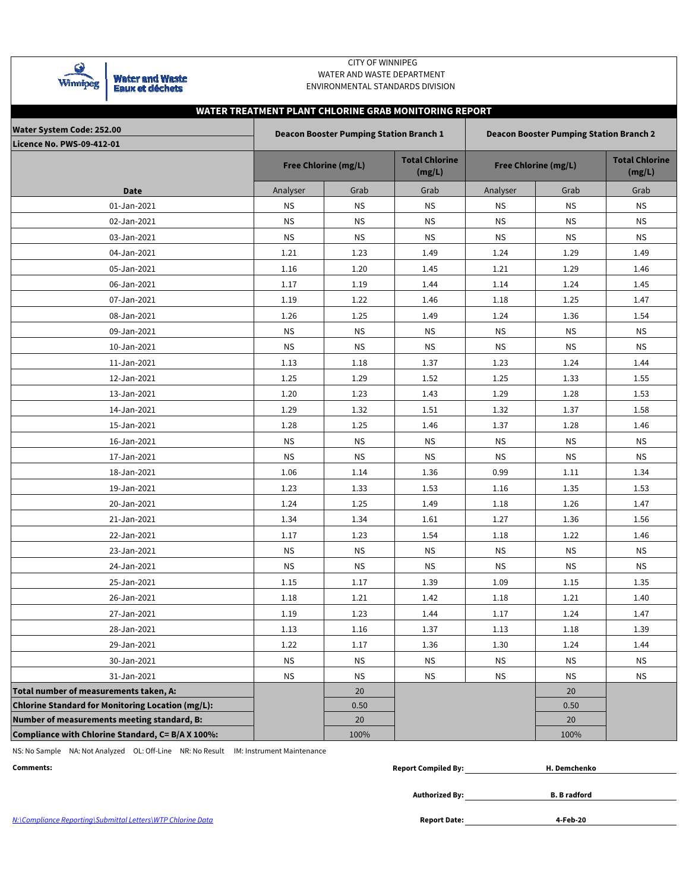| Winnipeg | <b>Water and Waste</b><br><b>Eaux et déchets</b> |
|----------|--------------------------------------------------|
|----------|--------------------------------------------------|

## CITY OF WINNIPEG WATER AND WASTE DEPARTMENT ENVIRONMENTAL STANDARDS DIVISION

# **WATER TREATMENT PLANT CHLORINE GRAB MONITORING REPORT**

| <b>Water System Code: 252.00</b>                  |           | <b>Deacon Booster Pumping Station Branch 1</b> |                                 | <b>Deacon Booster Pumping Station Branch 2</b> |           |                                 |  |  |  |  |  |
|---------------------------------------------------|-----------|------------------------------------------------|---------------------------------|------------------------------------------------|-----------|---------------------------------|--|--|--|--|--|
| Licence No. PWS-09-412-01                         |           |                                                |                                 |                                                |           |                                 |  |  |  |  |  |
|                                                   |           | <b>Free Chlorine (mg/L)</b>                    | <b>Total Chlorine</b><br>(mg/L) | <b>Free Chlorine (mg/L)</b>                    |           | <b>Total Chlorine</b><br>(mg/L) |  |  |  |  |  |
| <b>Date</b>                                       | Analyser  | Grab                                           | Grab                            | Analyser                                       | Grab      | Grab                            |  |  |  |  |  |
| 01-Jan-2021                                       | <b>NS</b> | <b>NS</b>                                      | <b>NS</b>                       | <b>NS</b>                                      | <b>NS</b> | <b>NS</b>                       |  |  |  |  |  |
| 02-Jan-2021                                       | ΝS        | <b>NS</b>                                      | <b>NS</b>                       | ΝS                                             | <b>NS</b> | <b>NS</b>                       |  |  |  |  |  |
| 03-Jan-2021                                       | ΝS        | ΝS                                             | ΝS                              | ΝS                                             | <b>NS</b> | ΝS                              |  |  |  |  |  |
| 04-Jan-2021                                       | 1.21      | 1.23                                           | 1.49                            | 1.24                                           | 1.29      | 1.49                            |  |  |  |  |  |
| 05-Jan-2021                                       | 1.16      | 1.20                                           | 1.45                            | 1.21                                           | 1.29      | 1.46                            |  |  |  |  |  |
| 06-Jan-2021                                       | 1.17      | 1.19                                           | 1.44                            | 1.14                                           | 1.24      | 1.45                            |  |  |  |  |  |
| 07-Jan-2021                                       | 1.19      | 1.22                                           | 1.46                            | 1.18                                           | 1.25      | 1.47                            |  |  |  |  |  |
| 08-Jan-2021                                       | 1.26      | 1.25                                           | 1.49                            | 1.24                                           | 1.36      | 1.54                            |  |  |  |  |  |
| 09-Jan-2021                                       | ΝS        | ΝS                                             | <b>NS</b>                       | ΝS                                             | <b>NS</b> | <b>NS</b>                       |  |  |  |  |  |
| 10-Jan-2021                                       | ΝS        | ΝS                                             | ΝS                              | ΝS                                             | <b>NS</b> | ΝS                              |  |  |  |  |  |
| 11-Jan-2021                                       | 1.13      | 1.18                                           | 1.37                            | 1.23                                           | 1.24      | 1.44                            |  |  |  |  |  |
| 12-Jan-2021                                       | 1.25      | 1.29                                           | 1.52                            | 1.25                                           | 1.33      | 1.55                            |  |  |  |  |  |
| 13-Jan-2021                                       | 1.20      | 1.23                                           | 1.43                            | 1.29                                           | 1.28      | 1.53                            |  |  |  |  |  |
| 14-Jan-2021                                       | 1.29      | 1.32                                           | 1.51                            | 1.32                                           | 1.37      | 1.58                            |  |  |  |  |  |
| 15-Jan-2021                                       | 1.28      | 1.25                                           | 1.46                            | 1.37                                           | 1.28      | 1.46                            |  |  |  |  |  |
| 16-Jan-2021                                       | ΝS        | <b>NS</b>                                      | <b>NS</b>                       | <b>NS</b>                                      | <b>NS</b> | <b>NS</b>                       |  |  |  |  |  |
| 17-Jan-2021                                       | <b>NS</b> | <b>NS</b>                                      | ΝS                              | <b>NS</b>                                      | <b>NS</b> | ΝS                              |  |  |  |  |  |
| 18-Jan-2021                                       | 1.06      | 1.14                                           | 1.36                            | 0.99                                           | 1.11      | 1.34                            |  |  |  |  |  |
| 19-Jan-2021                                       | 1.23      | 1.33                                           | 1.53                            | 1.16                                           | 1.35      | 1.53                            |  |  |  |  |  |
| 20-Jan-2021                                       | 1.24      | 1.25                                           | 1.49                            | 1.18                                           | 1.26      | 1.47                            |  |  |  |  |  |
| 21-Jan-2021                                       | 1.34      | 1.34                                           | 1.61                            | 1.27                                           | 1.36      | 1.56                            |  |  |  |  |  |
| 22-Jan-2021                                       | 1.17      | 1.23                                           | 1.54                            | 1.18                                           | 1.22      | 1.46                            |  |  |  |  |  |
| 23-Jan-2021                                       | ΝS        | <b>NS</b>                                      | <b>NS</b>                       | <b>NS</b>                                      | <b>NS</b> | <b>NS</b>                       |  |  |  |  |  |
| 24-Jan-2021                                       | ΝS        | ΝS                                             | ΝS                              | ΝS                                             | <b>NS</b> | ΝS                              |  |  |  |  |  |
| 25-Jan-2021                                       | 1.15      | 1.17                                           | 1.39                            | 1.09                                           | 1.15      | 1.35                            |  |  |  |  |  |
| 26-Jan-2021                                       | 1.18      | 1.21                                           | 1.42                            | 1.18                                           | 1.21      | 1.40                            |  |  |  |  |  |
| 27-Jan-2021                                       | 1.19      | 1.23                                           | 1.44                            | 1.17                                           | 1.24      | 1.47                            |  |  |  |  |  |
| 28-Jan-2021                                       | 1.13      | 1.16                                           | 1.37                            | 1.13                                           | $1.18\,$  | 1.39                            |  |  |  |  |  |
| 29-Jan-2021                                       | 1.22      | 1.17                                           | 1.36                            | 1.30                                           | 1.24      | 1.44                            |  |  |  |  |  |
| 30-Jan-2021                                       | <b>NS</b> | <b>NS</b>                                      | <b>NS</b>                       | <b>NS</b>                                      | <b>NS</b> | ΝS                              |  |  |  |  |  |
| 31-Jan-2021                                       | <b>NS</b> | <b>NS</b>                                      | <b>NS</b>                       | <b>NS</b>                                      | <b>NS</b> | <b>NS</b>                       |  |  |  |  |  |
| Total number of measurements taken, A:            |           | 20                                             |                                 |                                                | 20        |                                 |  |  |  |  |  |
| Chlorine Standard for Monitoring Location (mg/L): |           | 0.50                                           |                                 |                                                | 0.50      |                                 |  |  |  |  |  |
| Number of measurements meeting standard, B:       |           | 20                                             |                                 |                                                | 20        |                                 |  |  |  |  |  |
| Compliance with Chlorine Standard, C= B/A X 100%: |           | 100%                                           |                                 |                                                | 100%      |                                 |  |  |  |  |  |

NS: No Sample NA: Not Analyzed OL: Off-Line NR: No Result IM: Instrument Maintenance

| Comments: | compiled Bv<br>Repor | Demchenko |
|-----------|----------------------|-----------|
|           |                      |           |

**Authorized By:**

**B. B radford**

**4-Feb-20**